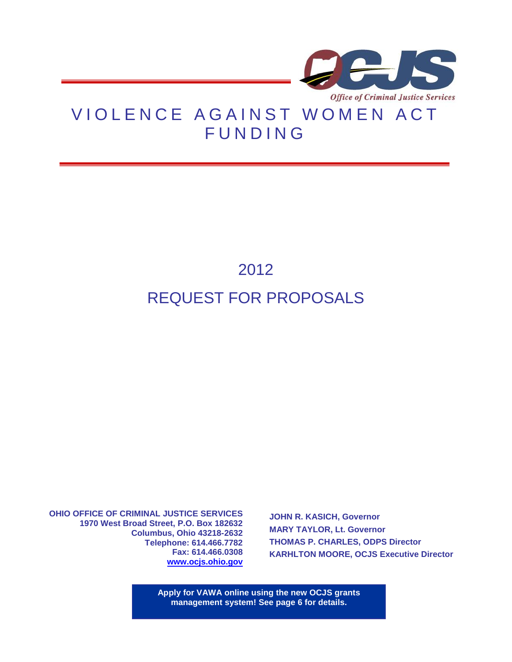

## VIOLENCE AGAINST WOMEN ACT **FUNDING**

# 2012 REQUEST FOR PROPOSALS

**OHIO OFFICE OF CRIMINAL JUSTICE SERVICES 1970 West Broad Street, P.O. Box 182632 Columbus, Ohio 43218-2632 Telephone: 614.466.7782 Fax: 614.466.0308 [www.ocjs.ohio.gov](http://www.publicsafety.ohio.gov/odps_ocjs)**

**JOHN R. KASICH, Governor MARY TAYLOR, Lt. Governor THOMAS P. CHARLES, ODPS Director KARHLTON MOORE, OCJS Executive Director**

**Apply for VAWA online using the new OCJS grants management system! See page 6 for details.**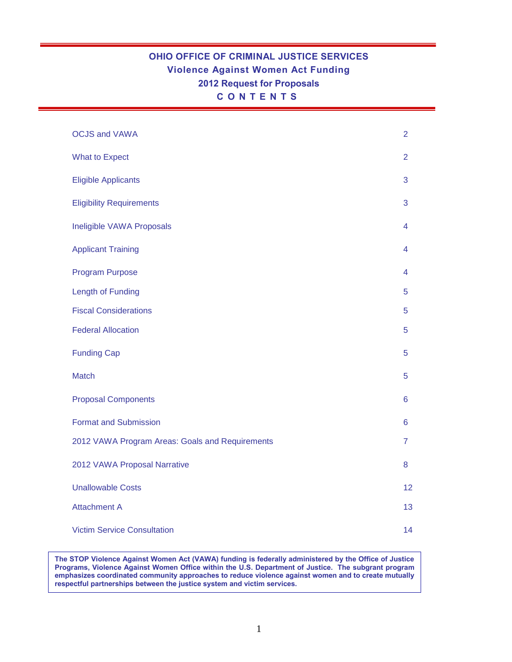## **OHIO OFFICE OF CRIMINAL JUSTICE SERVICES Violence Against Women Act Funding 2012 Request for Proposals C O N T E N T S**

| <b>OCJS and VAWA</b>                            | $\overline{2}$ |
|-------------------------------------------------|----------------|
| <b>What to Expect</b>                           | $\overline{2}$ |
| <b>Eligible Applicants</b>                      | 3              |
| <b>Eligibility Requirements</b>                 | 3              |
| Ineligible VAWA Proposals                       | 4              |
| <b>Applicant Training</b>                       | 4              |
| <b>Program Purpose</b>                          | 4              |
| Length of Funding                               | 5              |
| <b>Fiscal Considerations</b>                    | 5              |
| <b>Federal Allocation</b>                       | 5              |
| <b>Funding Cap</b>                              | 5              |
| <b>Match</b>                                    | 5              |
| <b>Proposal Components</b>                      | 6              |
| <b>Format and Submission</b>                    | $6\phantom{1}$ |
| 2012 VAWA Program Areas: Goals and Requirements | $\overline{7}$ |
| 2012 VAWA Proposal Narrative                    | 8              |
| <b>Unallowable Costs</b>                        | 12             |
| <b>Attachment A</b>                             | 13             |
| <b>Victim Service Consultation</b>              | 14             |

**The STOP Violence Against Women Act (VAWA) funding is federally administered by the Office of Justice Programs, Violence Against Women Office within the U.S. Department of Justice. The subgrant program emphasizes coordinated community approaches to reduce violence against women and to create mutually respectful partnerships between the justice system and victim services.**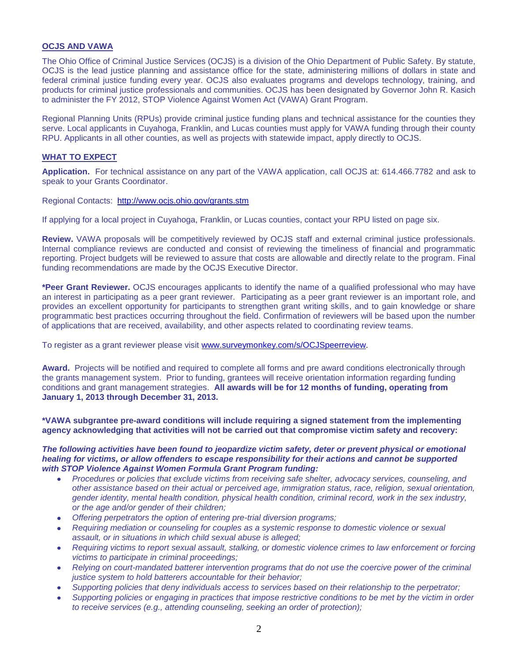#### **OCJS AND VAWA**

The Ohio Office of Criminal Justice Services (OCJS) is a division of the Ohio Department of Public Safety. By statute, OCJS is the lead justice planning and assistance office for the state, administering millions of dollars in state and federal criminal justice funding every year. OCJS also evaluates programs and develops technology, training, and products for criminal justice professionals and communities. OCJS has been designated by Governor John R. Kasich to administer the FY 2012, STOP Violence Against Women Act (VAWA) Grant Program.

Regional Planning Units (RPUs) provide criminal justice funding plans and technical assistance for the counties they serve. Local applicants in Cuyahoga, Franklin, and Lucas counties must apply for VAWA funding through their county RPU. Applicants in all other counties, as well as projects with statewide impact, apply directly to OCJS.

#### **WHAT TO EXPECT**

**Application.** For technical assistance on any part of the VAWA application, call OCJS at: 614.466.7782 and ask to speak to your Grants Coordinator.

Regional Contacts: <http://www.ocjs.ohio.gov/grants.stm>

If applying for a local project in Cuyahoga, Franklin, or Lucas counties, contact your RPU listed on page six.

**Review.** VAWA proposals will be competitively reviewed by OCJS staff and external criminal justice professionals. Internal compliance reviews are conducted and consist of reviewing the timeliness of financial and programmatic reporting. Project budgets will be reviewed to assure that costs are allowable and directly relate to the program. Final funding recommendations are made by the OCJS Executive Director.

**\*Peer Grant Reviewer.** OCJS encourages applicants to identify the name of a qualified professional who may have an interest in participating as a peer grant reviewer. Participating as a peer grant reviewer is an important role, and provides an excellent opportunity for participants to strengthen grant writing skills, and to gain knowledge or share programmatic best practices occurring throughout the field. Confirmation of reviewers will be based upon the number of applications that are received, availability, and other aspects related to coordinating review teams.

To register as a grant reviewer please visit [www.surveymonkey.com/s/OCJSpeerreview.](http://www.surveymonkey.com/s/OCJSpeerreview)

**Award.** Projects will be notified and required to complete all forms and pre award conditions electronically through the grants management system. Prior to funding, grantees will receive orientation information regarding funding conditions and grant management strategies. **All awards will be for 12 months of funding, operating from January 1, 2013 through December 31, 2013.**

**\*VAWA subgrantee pre-award conditions will include requiring a signed statement from the implementing agency acknowledging that activities will not be carried out that compromise victim safety and recovery:**

*The following activities have been found to jeopardize victim safety, deter or prevent physical or emotional healing for victims, or allow offenders to escape responsibility for their actions and cannot be supported with STOP Violence Against Women Formula Grant Program funding:* 

- *Procedures or policies that exclude victims from receiving safe shelter, advocacy services, counseling, and*   $\bullet$ *other assistance based on their actual or perceived age, immigration status, race, religion, sexual orientation, gender identity, mental health condition, physical health condition, criminal record, work in the sex industry, or the age and/or gender of their children;*
- *Offering perpetrators the option of entering pre-trial diversion programs;*
- *Requiring mediation or counseling for couples as a systemic response to domestic violence or sexual assault, or in situations in which child sexual abuse is alleged;*
- *Requiring victims to report sexual assault, stalking, or domestic violence crimes to law enforcement or forcing*   $\bullet$ *victims to participate in criminal proceedings;*
- *Relying on court-mandated batterer intervention programs that do not use the coercive power of the criminal justice system to hold batterers accountable for their behavior;*
- *Supporting policies that deny individuals access to services based on their relationship to the perpetrator;*
- *Supporting policies or engaging in practices that impose restrictive conditions to be met by the victim in order to receive services (e.g., attending counseling, seeking an order of protection);*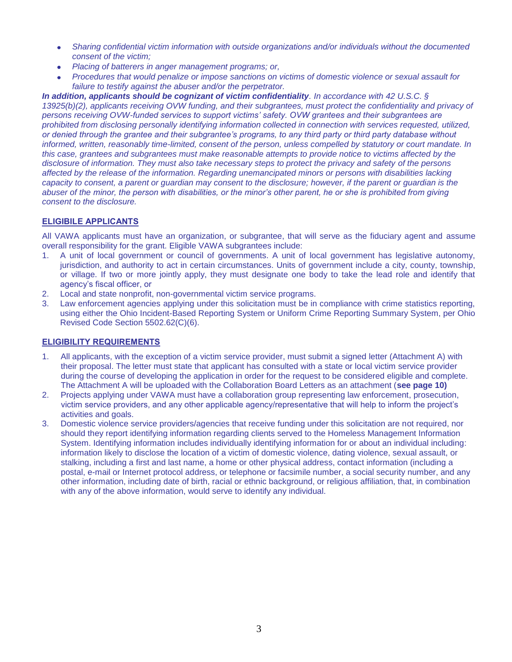- *Sharing confidential victim information with outside organizations and/or individuals without the documented*   $\bullet$ *consent of the victim;*
- *Placing of batterers in anger management programs; or,*   $\bullet$
- *Procedures that would penalize or impose sanctions on victims of domestic violence or sexual assault for failure to testify against the abuser and/or the perpetrator.*

*In addition, applicants should be cognizant of victim confidentiality. In accordance with 42 U.S.C. §*  13925(b)(2), applicants receiving OVW funding, and their subgrantees, must protect the confidentiality and privacy of *persons receiving OVW-funded services to support victims' safety. OVW grantees and their subgrantees are prohibited from disclosing personally identifying information collected in connection with services requested, utilized, or denied through the grantee and their subgrantee's programs, to any third party or third party database without informed, written, reasonably time-limited, consent of the person, unless compelled by statutory or court mandate. In this case, grantees and subgrantees must make reasonable attempts to provide notice to victims affected by the disclosure of information. They must also take necessary steps to protect the privacy and safety of the persons affected by the release of the information. Regarding unemancipated minors or persons with disabilities lacking capacity to consent, a parent or guardian may consent to the disclosure; however, if the parent or guardian is the abuser of the minor, the person with disabilities, or the minor's other parent, he or she is prohibited from giving consent to the disclosure.*

#### **ELIGIBILE APPLICANTS**

All VAWA applicants must have an organization, or subgrantee, that will serve as the fiduciary agent and assume overall responsibility for the grant. Eligible VAWA subgrantees include:

- 1. A unit of local government or council of governments. A unit of local government has legislative autonomy, jurisdiction, and authority to act in certain circumstances. Units of government include a city, county, township, or village. If two or more jointly apply, they must designate one body to take the lead role and identify that agency's fiscal officer, or
- 2. Local and state nonprofit, non-governmental victim service programs.
- 3. Law enforcement agencies applying under this solicitation must be in compliance with crime statistics reporting, using either the Ohio Incident-Based Reporting System or Uniform Crime Reporting Summary System, per Ohio Revised Code Section 5502.62(C)(6).

#### **ELIGIBILITY REQUIREMENTS**

- 1. All applicants, with the exception of a victim service provider, must submit a signed letter (Attachment A) with their proposal. The letter must state that applicant has consulted with a state or local victim service provider during the course of developing the application in order for the request to be considered eligible and complete. The Attachment A will be uploaded with the Collaboration Board Letters as an attachment (**see page 10)**
- 2. Projects applying under VAWA must have a collaboration group representing law enforcement, prosecution, victim service providers, and any other applicable agency/representative that will help to inform the project's activities and goals.
- 3. Domestic violence service providers/agencies that receive funding under this solicitation are not required, nor should they report identifying information regarding clients served to the Homeless Management Information System. Identifying information includes individually identifying information for or about an individual including: information likely to disclose the location of a victim of domestic violence, dating violence, sexual assault, or stalking, including a first and last name, a home or other physical address, contact information (including a postal, e-mail or Internet protocol address, or telephone or facsimile number, a social security number, and any other information, including date of birth, racial or ethnic background, or religious affiliation, that, in combination with any of the above information, would serve to identify any individual.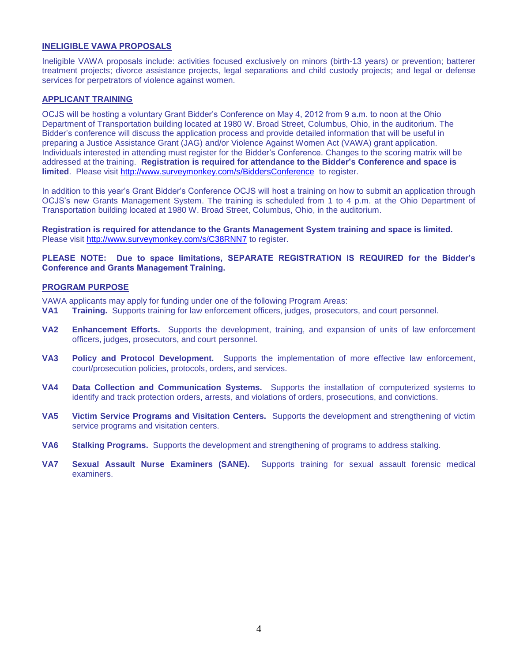#### **INELIGIBLE VAWA PROPOSALS**

Ineligible VAWA proposals include: activities focused exclusively on minors (birth-13 years) or prevention; batterer treatment projects; divorce assistance projects, legal separations and child custody projects; and legal or defense services for perpetrators of violence against women.

#### **APPLICANT TRAINING**

OCJS will be hosting a voluntary Grant Bidder's Conference on May 4, 2012 from 9 a.m. to noon at the Ohio Department of Transportation building located at 1980 W. Broad Street, Columbus, Ohio, in the auditorium. The Bidder's conference will discuss the application process and provide detailed information that will be useful in preparing a Justice Assistance Grant (JAG) and/or Violence Against Women Act (VAWA) grant application. Individuals interested in attending must register for the Bidder's Conference. Changes to the scoring matrix will be addressed at the training. **Registration is required for attendance to the Bidder's Conference and space is limited**. Please visit <http://www.surveymonkey.com/s/BiddersConference> to register.

In addition to this year's Grant Bidder's Conference OCJS will host a training on how to submit an application through OCJS's new Grants Management System. The training is scheduled from 1 to 4 p.m. at the Ohio Department of Transportation building located at 1980 W. Broad Street, Columbus, Ohio, in the auditorium.

**Registration is required for attendance to the Grants Management System training and space is limited.** Please visit<http://www.surveymonkey.com/s/C38RNN7> to register.

#### **PLEASE NOTE: Due to space limitations, SEPARATE REGISTRATION IS REQUIRED for the Bidder's Conference and Grants Management Training.**

#### **PROGRAM PURPOSE**

VAWA applicants may apply for funding under one of the following Program Areas:

- **VA1 Training.** Supports training for law enforcement officers, judges, prosecutors, and court personnel.
- **VA2 Enhancement Efforts.** Supports the development, training, and expansion of units of law enforcement officers, judges, prosecutors, and court personnel.
- **VA3 Policy and Protocol Development.** Supports the implementation of more effective law enforcement, court/prosecution policies, protocols, orders, and services.
- **VA4 Data Collection and Communication Systems.** Supports the installation of computerized systems to identify and track protection orders, arrests, and violations of orders, prosecutions, and convictions.
- **VA5 Victim Service Programs and Visitation Centers.** Supports the development and strengthening of victim service programs and visitation centers.
- **VA6 Stalking Programs.** Supports the development and strengthening of programs to address stalking.
- **VA7 Sexual Assault Nurse Examiners (SANE).** Supports training for sexual assault forensic medical examiners.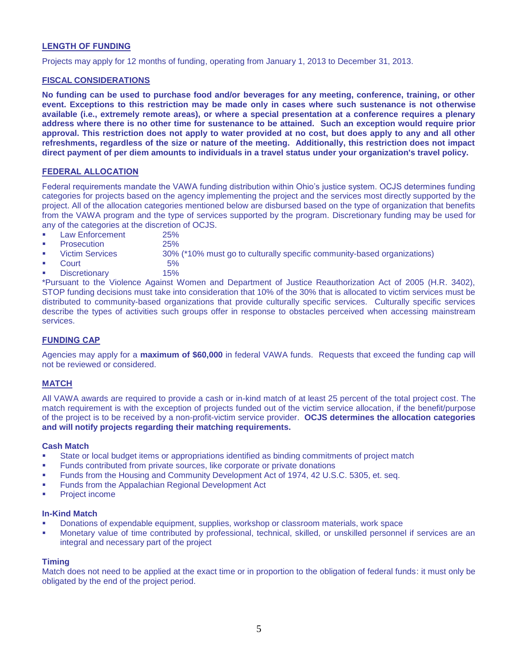#### **LENGTH OF FUNDING**

Projects may apply for 12 months of funding, operating from January 1, 2013 to December 31, 2013.

#### **FISCAL CONSIDERATIONS**

**No funding can be used to purchase food and/or beverages for any meeting, conference, training, or other event. Exceptions to this restriction may be made only in cases where such sustenance is not otherwise available (i.e., extremely remote areas), or where a special presentation at a conference requires a plenary address where there is no other time for sustenance to be attained. Such an exception would require prior approval. This restriction does not apply to water provided at no cost, but does apply to any and all other refreshments, regardless of the size or nature of the meeting. Additionally, this restriction does not impact direct payment of per diem amounts to individuals in a travel status under your organization's travel policy.**

#### **FEDERAL ALLOCATION**

Federal requirements mandate the VAWA funding distribution within Ohio's justice system. OCJS determines funding categories for projects based on the agency implementing the project and the services most directly supported by the project. All of the allocation categories mentioned below are disbursed based on the type of organization that benefits from the VAWA program and the type of services supported by the program. Discretionary funding may be used for any of the categories at the discretion of OCJS.

- **Law Enforcement** 25%
- Prosecution 25%
- Victim Services 30% (\*10% must go to culturally specific community-based organizations)
- Court 5%
- Discretionary 15%

\*Pursuant to the Violence Against Women and Department of Justice Reauthorization Act of 2005 (H.R. 3402), STOP funding decisions must take into consideration that 10% of the 30% that is allocated to victim services must be distributed to community-based organizations that provide culturally specific services. Culturally specific services describe the types of activities such groups offer in response to obstacles perceived when accessing mainstream services.

#### **FUNDING CAP**

Agencies may apply for a **maximum of \$60,000** in federal VAWA funds. Requests that exceed the funding cap will not be reviewed or considered.

#### **MATCH**

All VAWA awards are required to provide a cash or in-kind match of at least 25 percent of the total project cost. The match requirement is with the exception of projects funded out of the victim service allocation, if the benefit/purpose of the project is to be received by a non-profit-victim service provider. **OCJS determines the allocation categories and will notify projects regarding their matching requirements.**

#### **Cash Match**

- State or local budget items or appropriations identified as binding commitments of project match
- **Funds contributed from private sources, like corporate or private donations**
- Funds from the Housing and Community Development Act of 1974, 42 U.S.C. 5305, et. seq.
- Funds from the Appalachian Regional Development Act
- Project income

#### **In-Kind Match**

- Donations of expendable equipment, supplies, workshop or classroom materials, work space
- Monetary value of time contributed by professional, technical, skilled, or unskilled personnel if services are an integral and necessary part of the project

#### **Timing**

Match does not need to be applied at the exact time or in proportion to the obligation of federal funds: it must only be obligated by the end of the project period.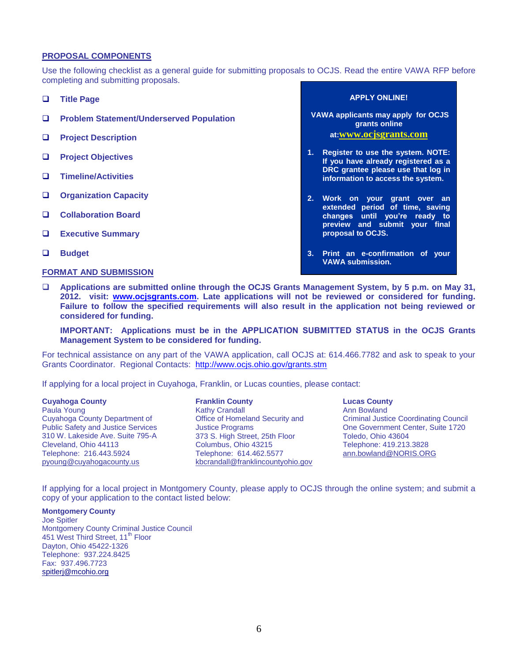#### **PROPOSAL COMPONENTS**

Use the following checklist as a general guide for submitting proposals to OCJS. Read the entire VAWA RFP before completing and submitting proposals.

- **Title Page**
- **Problem Statement/Underserved Population**
- **Project Description**
- **Project Objectives**
- **Timeline/Activities**
- **Organization Capacity**
- **Collaboration Board**
- **Executive Summary**
- **Budget**

#### **FORMAT AND SUBMISSION**

#### **APPLY ONLINE!**

**VAWA applicants may apply for OCJS grants online** 

#### **at:[www.ocjsgrants.com](https://portals.ocjs.ohio.gov/ogss/login.aspx)**

- **1. Register to use the system. NOTE: If you have already registered as a DRC grantee please use that log in information to access the system.**
- **2. Work on your grant over an extended period of time, saving changes until you're ready to preview and submit your final proposal to OCJS.**
- **3. Print an e-confirmation of your VAWA submission.**
- **Applications are submitted online through the OCJS Grants Management System, by 5 p.m. on May 31, 2012. visit: [www.ocjsgrants.com.](http://www.ocjsgrants.com/) Late applications will not be reviewed or considered for funding. Failure to follow the specified requirements will also result in the application not being reviewed or considered for funding.**

**IMPORTANT: Applications must be in the APPLICATION SUBMITTED STATUS in the OCJS Grants Management System to be considered for funding.**

For technical assistance on any part of the VAWA application, call OCJS at: 614.466.7782 and ask to speak to your Grants Coordinator. Regional Contacts: <http://www.ocjs.ohio.gov/grants.stm>

If applying for a local project in Cuyahoga, Franklin, or Lucas counties, please contact:

**Cuyahoga County** Paula Young **Communist Communist Crandall** Cuyahoga County Department of Public Safety and Justice Services 310 W. Lakeside Ave. Suite 795-A Cleveland, Ohio 44113 Telephone: 216.443.5924 [pyoung@cuyahogacounty.us](mailto:mnewman@cuyahogacounty.us)

**Franklin County** Office of Homeland Security and Justice Programs 373 S. High Street, 25th Floor Columbus, Ohio 43215 Telephone: 614.462.5577 [kbcrandall@franklincountyohio.gov](mailto:kbcrandall@franklincountyohio.gov)

**Lucas County** Ann Bowland Criminal Justice Coordinating Council One Government Center, Suite 1720 Toledo, Ohio 43604 Telephone: 419.213.3828 [ann.bowland@NORIS.ORG](mailto:holly.matthews@NORIS.ORG) 

If applying for a local project in Montgomery County, please apply to OCJS through the online system; and submit a copy of your application to the contact listed below:

#### **Montgomery County**

Joe Spitler Montgomery County Criminal Justice Council 451 West Third Street, 11<sup>th</sup> Floor Dayton, Ohio 45422-1326 Telephone: 937.224.8425 Fax: 937.496.7723 [spitlerj@mcohio.org](mailto:spitlerj@mcohio.org)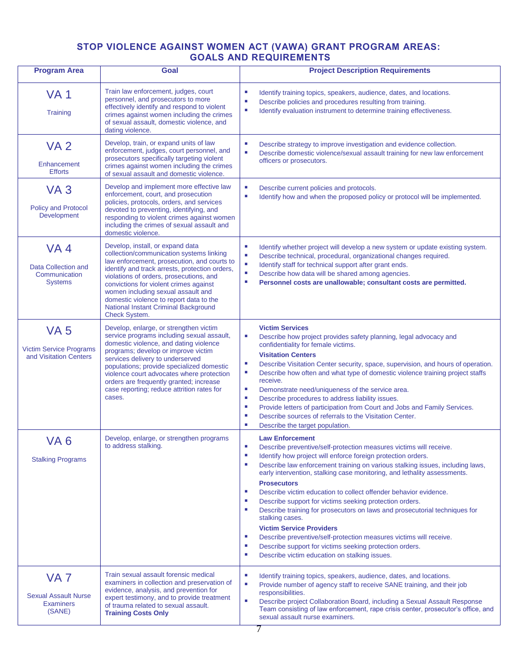#### **STOP VIOLENCE AGAINST WOMEN ACT (VAWA) GRANT PROGRAM AREAS: GOALS AND REQUIREMENTS**

| <b>Program Area</b>                                                          | Goal                                                                                                                                                                                                                                                                                                                                                                                                         | <b>Project Description Requirements</b>                                                                                                                                                                                                                                                                                                                                                                                                                                                                                                                                                                                                                                                                                                                                                                                                            |  |  |
|------------------------------------------------------------------------------|--------------------------------------------------------------------------------------------------------------------------------------------------------------------------------------------------------------------------------------------------------------------------------------------------------------------------------------------------------------------------------------------------------------|----------------------------------------------------------------------------------------------------------------------------------------------------------------------------------------------------------------------------------------------------------------------------------------------------------------------------------------------------------------------------------------------------------------------------------------------------------------------------------------------------------------------------------------------------------------------------------------------------------------------------------------------------------------------------------------------------------------------------------------------------------------------------------------------------------------------------------------------------|--|--|
| VA <sub>1</sub><br>Training                                                  | Train law enforcement, judges, court<br>personnel, and prosecutors to more<br>effectively identify and respond to violent<br>crimes against women including the crimes<br>of sexual assault, domestic violence, and<br>dating violence.                                                                                                                                                                      | ×<br>Identify training topics, speakers, audience, dates, and locations.<br>$\overline{\phantom{a}}$<br>Describe policies and procedures resulting from training.<br>$\overline{\phantom{a}}$<br>Identify evaluation instrument to determine training effectiveness.                                                                                                                                                                                                                                                                                                                                                                                                                                                                                                                                                                               |  |  |
| VA <sub>2</sub><br>Enhancement<br><b>Efforts</b>                             | Develop, train, or expand units of law<br>enforcement, judges, court personnel, and<br>prosecutors specifically targeting violent<br>crimes against women including the crimes<br>of sexual assault and domestic violence.                                                                                                                                                                                   | $\mathcal{L}_{\mathcal{A}}$<br>Describe strategy to improve investigation and evidence collection.<br>$\overline{\phantom{a}}$<br>Describe domestic violence/sexual assault training for new law enforcement<br>officers or prosecutors.                                                                                                                                                                                                                                                                                                                                                                                                                                                                                                                                                                                                           |  |  |
| VA <sub>3</sub><br><b>Policy and Protocol</b><br>Development                 | Develop and implement more effective law<br>enforcement, court, and prosecution<br>policies, protocols, orders, and services<br>devoted to preventing, identifying, and<br>responding to violent crimes against women<br>including the crimes of sexual assault and<br>domestic violence.                                                                                                                    | $\mathcal{L}_{\mathcal{A}}$<br>Describe current policies and protocols.<br>$\overline{\phantom{a}}$<br>Identify how and when the proposed policy or protocol will be implemented.                                                                                                                                                                                                                                                                                                                                                                                                                                                                                                                                                                                                                                                                  |  |  |
| VA <sub>4</sub><br>Data Collection and<br>Communication<br><b>Systems</b>    | Develop, install, or expand data<br>collection/communication systems linking<br>law enforcement, prosecution, and courts to<br>identify and track arrests, protection orders,<br>violations of orders, prosecutions, and<br>convictions for violent crimes against<br>women including sexual assault and<br>domestic violence to report data to the<br>National Instant Criminal Background<br>Check System. | ×<br>Identify whether project will develop a new system or update existing system.<br>$\blacksquare$<br>Describe technical, procedural, organizational changes required.<br>Identify staff for technical support after grant ends.<br>×<br>×<br>Describe how data will be shared among agencies.<br>×<br>Personnel costs are unallowable; consultant costs are permitted.                                                                                                                                                                                                                                                                                                                                                                                                                                                                          |  |  |
| <b>VA 5</b><br><b>Victim Service Programs</b><br>and Visitation Centers      | Develop, enlarge, or strengthen victim<br>service programs including sexual assault,<br>domestic violence, and dating violence<br>programs; develop or improve victim<br>services delivery to underserved<br>populations; provide specialized domestic<br>violence court advocates where protection<br>orders are frequently granted; increase<br>case reporting; reduce attrition rates for<br>cases.       | <b>Victim Services</b><br>$\overline{\phantom{a}}$<br>Describe how project provides safety planning, legal advocacy and<br>confidentiality for female victims.<br><b>Visitation Centers</b><br>×<br>Describe Visitation Center security, space, supervision, and hours of operation.<br>$\mathcal{L}_{\mathcal{A}}$<br>Describe how often and what type of domestic violence training project staffs<br>receive.<br>$\overline{\phantom{a}}$<br>Demonstrate need/uniqueness of the service area.<br>×<br>Describe procedures to address liability issues.<br>$\overline{\phantom{a}}$<br>Provide letters of participation from Court and Jobs and Family Services.<br>×<br>Describe sources of referrals to the Visitation Center.<br>Describe the target population.<br>ш                                                                         |  |  |
| VA <sub>6</sub><br><b>Stalking Programs</b>                                  | Develop, enlarge, or strengthen programs<br>to address stalking.                                                                                                                                                                                                                                                                                                                                             | <b>Law Enforcement</b><br>×<br>Describe preventive/self-protection measures victims will receive.<br>×<br>Identify how project will enforce foreign protection orders.<br>Describe law enforcement training on various stalking issues, including laws,<br>×<br>early intervention, stalking case monitoring, and lethality assessments.<br><b>Prosecutors</b><br>×<br>Describe victim education to collect offender behavior evidence.<br>Describe support for victims seeking protection orders.<br>и<br>Describe training for prosecutors on laws and prosecutorial techniques for<br>×<br>stalking cases.<br><b>Victim Service Providers</b><br>×<br>Describe preventive/self-protection measures victims will receive.<br>Describe support for victims seeking protection orders.<br>×,<br>Describe victim education on stalking issues.<br>× |  |  |
| VA <sub>7</sub><br><b>Sexual Assault Nurse</b><br><b>Examiners</b><br>(SANE) | Train sexual assault forensic medical<br>examiners in collection and preservation of<br>evidence, analysis, and prevention for<br>expert testimony, and to provide treatment<br>of trauma related to sexual assault.<br><b>Training Costs Only</b>                                                                                                                                                           | ш<br>Identify training topics, speakers, audience, dates, and locations.<br>$\blacksquare$<br>Provide number of agency staff to receive SANE training, and their job<br>responsibilities.<br>×<br>Describe project Collaboration Board, including a Sexual Assault Response<br>Team consisting of law enforcement, rape crisis center, prosecutor's office, and<br>sexual assault nurse examiners.                                                                                                                                                                                                                                                                                                                                                                                                                                                 |  |  |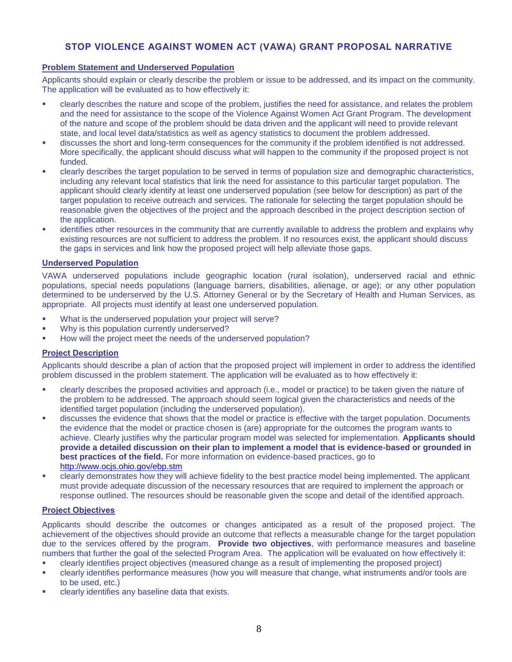### **STOP VIOLENCE AGAINST WOMEN ACT (VAWA) GRANT PROPOSAL NARRATIVE**

#### **Problem Statement and Underserved Population**

Applicants should explain or clearly describe the problem or issue to be addressed, and its impact on the community. The application will be evaluated as to how effectively it:

- clearly describes the nature and scope of the problem, justifies the need for assistance, and relates the problem and the need for assistance to the scope of the Violence Against Women Act Grant Program. The development of the nature and scope of the problem should be data driven and the applicant will need to provide relevant state, and local level data/statistics as well as agency statistics to document the problem addressed.
- discusses the short and long-term consequences for the community if the problem identified is not addressed. More specifically, the applicant should discuss what will happen to the community if the proposed project is not funded.
- clearly describes the target population to be served in terms of population size and demographic characteristics, including any relevant local statistics that link the need for assistance to this particular target population. The applicant should clearly identify at least one underserved population (see below for description) as part of the target population to receive outreach and services. The rationale for selecting the target population should be reasonable given the objectives of the project and the approach described in the project description section of the application.
- identifies other resources in the community that are currently available to address the problem and explains why existing resources are not sufficient to address the problem. If no resources exist, the applicant should discuss the gaps in services and link how the proposed project will help alleviate those gaps.

#### **Underserved Population**

VAWA underserved populations include geographic location (rural isolation), underserved racial and ethnic populations, special needs populations (language barriers, disabilities, alienage, or age); or any other population determined to be underserved by the U.S. Attorney General or by the Secretary of Health and Human Services, as appropriate. All projects must identify at least one underserved population.

- What is the underserved population your project will serve?
- Why is this population currently underserved?
- How will the project meet the needs of the underserved population?

#### **Project Description**

Applicants should describe a plan of action that the proposed project will implement in order to address the identified problem discussed in the problem statement. The application will be evaluated as to how effectively it:

- clearly describes the proposed activities and approach (i.e., model or practice) to be taken given the nature of the problem to be addressed. The approach should seem logical given the characteristics and needs of the identified target population (including the underserved population).
- discusses the evidence that shows that the model or practice is effective with the target population. Documents the evidence that the model or practice chosen is (are) appropriate for the outcomes the program wants to achieve. Clearly justifies why the particular program model was selected for implementation. **Applicants should provide a detailed discussion on their plan to implement a model that is evidence-based or grounded in best practices of the field.** For more information on evidence-based practices, go to <http://www.ocjs.ohio.gov/ebp.stm>
- clearly demonstrates how they will achieve fidelity to the best practice model being implemented. The applicant must provide adequate discussion of the necessary resources that are required to implement the approach or response outlined. The resources should be reasonable given the scope and detail of the identified approach.

#### **Project Objectives**

Applicants should describe the outcomes or changes anticipated as a result of the proposed project. The achievement of the objectives should provide an outcome that reflects a measurable change for the target population due to the services offered by the program. **Provide two objectives**, with performance measures and baseline numbers that further the goal of the selected Program Area. The application will be evaluated on how effectively it:

- clearly identifies project objectives (measured change as a result of implementing the proposed project)
- clearly identifies performance measures (how you will measure that change, what instruments and/or tools are to be used, etc.)
- clearly identifies any baseline data that exists.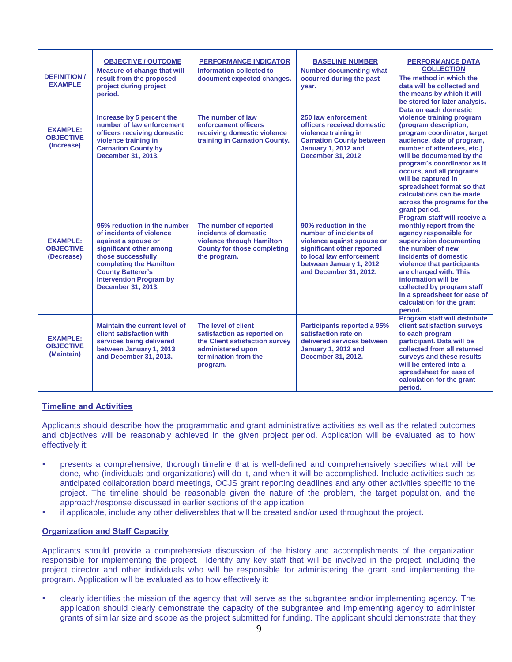| <b>DEFINITION /</b><br><b>EXAMPLE</b>             | <b>OBJECTIVE / OUTCOME</b><br><b>Measure of change that will</b><br>result from the proposed<br>project during project<br>period.                                                                                                              | <b>PERFORMANCE INDICATOR</b><br>Information collected to<br>document expected changes.                                                        | <b>BASELINE NUMBER</b><br><b>Number documenting what</b><br>occurred during the past<br>year.                                                                                               | <b>PERFORMANCE DATA</b><br><b>COLLECTION</b><br>The method in which the<br>data will be collected and<br>the means by which it will<br>be stored for later analysis.                                                                                                                                                                                                                            |
|---------------------------------------------------|------------------------------------------------------------------------------------------------------------------------------------------------------------------------------------------------------------------------------------------------|-----------------------------------------------------------------------------------------------------------------------------------------------|---------------------------------------------------------------------------------------------------------------------------------------------------------------------------------------------|-------------------------------------------------------------------------------------------------------------------------------------------------------------------------------------------------------------------------------------------------------------------------------------------------------------------------------------------------------------------------------------------------|
| <b>EXAMPLE:</b><br><b>OBJECTIVE</b><br>(Increase) | Increase by 5 percent the<br>number of law enforcement<br>officers receiving domestic<br>violence training in<br><b>Carnation County by</b><br>December 31, 2013.                                                                              | The number of law<br>enforcement officers<br>receiving domestic violence<br>training in Carnation County.                                     | 250 law enforcement<br>officers received domestic<br>violence training in<br><b>Carnation County between</b><br>January 1, 2012 and<br><b>December 31, 2012</b>                             | Data on each domestic<br>violence training program<br>(program description,<br>program coordinator, target<br>audience, date of program,<br>number of attendees, etc.)<br>will be documented by the<br>program's coordinator as it<br>occurs, and all programs<br>will be captured in<br>spreadsheet format so that<br>calculations can be made<br>across the programs for the<br>grant period. |
| <b>EXAMPLE:</b><br><b>OBJECTIVE</b><br>(Decrease) | 95% reduction in the number<br>of incidents of violence<br>against a spouse or<br>significant other among<br>those successfully<br>completing the Hamilton<br><b>County Batterer's</b><br><b>Intervention Program by</b><br>December 31, 2013. | The number of reported<br>incidents of domestic<br>violence through Hamilton<br><b>County for those completing</b><br>the program.            | 90% reduction in the<br>number of incidents of<br>violence against spouse or<br>significant other reported<br>to local law enforcement<br>between January 1, 2012<br>and December 31, 2012. | Program staff will receive a<br>monthly report from the<br>agency responsible for<br>supervision documenting<br>the number of new<br>incidents of domestic<br>violence that participants<br>are charged with. This<br>information will be<br>collected by program staff<br>in a spreadsheet for ease of<br>calculation for the grant<br>period.                                                 |
| <b>EXAMPLE:</b><br><b>OBJECTIVE</b><br>(Maintain) | Maintain the current level of<br>client satisfaction with<br>services being delivered<br>between January 1, 2013<br>and December 31, 2013.                                                                                                     | The level of client<br>satisfaction as reported on<br>the Client satisfaction survey<br>administered upon<br>termination from the<br>program. | Participants reported a 95%<br>satisfaction rate on<br>delivered services between<br>January 1, 2012 and<br>December 31, 2012.                                                              | <b>Program staff will distribute</b><br>client satisfaction surveys<br>to each program<br>participant. Data will be<br>collected from all returned<br>surveys and these results<br>will be entered into a<br>spreadsheet for ease of<br>calculation for the grant<br>period.                                                                                                                    |

#### **Timeline and Activities**

Applicants should describe how the programmatic and grant administrative activities as well as the related outcomes and objectives will be reasonably achieved in the given project period. Application will be evaluated as to how effectively it:

- presents a comprehensive, thorough timeline that is well-defined and comprehensively specifies what will be done, who (individuals and organizations) will do it, and when it will be accomplished. Include activities such as anticipated collaboration board meetings, OCJS grant reporting deadlines and any other activities specific to the project. The timeline should be reasonable given the nature of the problem, the target population, and the approach/response discussed in earlier sections of the application.
- if applicable, include any other deliverables that will be created and/or used throughout the project.

#### **Organization and Staff Capacity**

Applicants should provide a comprehensive discussion of the history and accomplishments of the organization responsible for implementing the project. Identify any key staff that will be involved in the project, including the project director and other individuals who will be responsible for administering the grant and implementing the program. Application will be evaluated as to how effectively it:

 clearly identifies the mission of the agency that will serve as the subgrantee and/or implementing agency. The application should clearly demonstrate the capacity of the subgrantee and implementing agency to administer grants of similar size and scope as the project submitted for funding. The applicant should demonstrate that they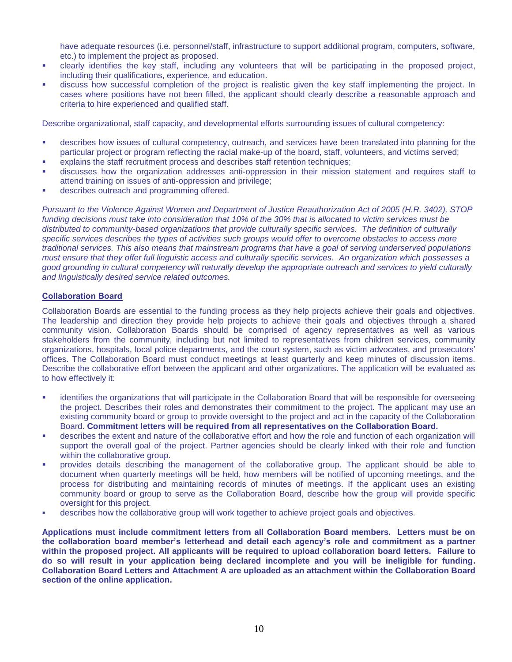have adequate resources (i.e. personnel/staff, infrastructure to support additional program, computers, software, etc.) to implement the project as proposed.

- clearly identifies the key staff, including any volunteers that will be participating in the proposed project, including their qualifications, experience, and education.
- discuss how successful completion of the project is realistic given the key staff implementing the project. In cases where positions have not been filled, the applicant should clearly describe a reasonable approach and criteria to hire experienced and qualified staff.

Describe organizational, staff capacity, and developmental efforts surrounding issues of cultural competency:

- describes how issues of cultural competency, outreach, and services have been translated into planning for the particular project or program reflecting the racial make-up of the board, staff, volunteers, and victims served;
- explains the staff recruitment process and describes staff retention techniques;
- discusses how the organization addresses anti-oppression in their mission statement and requires staff to attend training on issues of anti-oppression and privilege;
- describes outreach and programming offered.

*Pursuant to the Violence Against Women and Department of Justice Reauthorization Act of 2005 (H.R. 3402), STOP funding decisions must take into consideration that 10% of the 30% that is allocated to victim services must be distributed to community-based organizations that provide culturally specific services. The definition of culturally specific services describes the types of activities such groups would offer to overcome obstacles to access more traditional services. This also means that mainstream programs that have a goal of serving underserved populations must ensure that they offer full linguistic access and culturally specific services. An organization which possesses a good grounding in cultural competency will naturally develop the appropriate outreach and services to yield culturally and linguistically desired service related outcomes.* 

#### **Collaboration Board**

Collaboration Boards are essential to the funding process as they help projects achieve their goals and objectives. The leadership and direction they provide help projects to achieve their goals and objectives through a shared community vision. Collaboration Boards should be comprised of agency representatives as well as various stakeholders from the community, including but not limited to representatives from children services, community organizations, hospitals, local police departments, and the court system, such as victim advocates, and prosecutors' offices. The Collaboration Board must conduct meetings at least quarterly and keep minutes of discussion items. Describe the collaborative effort between the applicant and other organizations. The application will be evaluated as to how effectively it:

- identifies the organizations that will participate in the Collaboration Board that will be responsible for overseeing the project. Describes their roles and demonstrates their commitment to the project. The applicant may use an existing community board or group to provide oversight to the project and act in the capacity of the Collaboration Board. **Commitment letters will be required from all representatives on the Collaboration Board.**
- describes the extent and nature of the collaborative effort and how the role and function of each organization will support the overall goal of the project. Partner agencies should be clearly linked with their role and function within the collaborative group.
- provides details describing the management of the collaborative group. The applicant should be able to document when quarterly meetings will be held, how members will be notified of upcoming meetings, and the process for distributing and maintaining records of minutes of meetings. If the applicant uses an existing community board or group to serve as the Collaboration Board, describe how the group will provide specific oversight for this project.
- describes how the collaborative group will work together to achieve project goals and objectives.

**Applications must include commitment letters from all Collaboration Board members. Letters must be on the collaboration board member's letterhead and detail each agency's role and commitment as a partner within the proposed project. All applicants will be required to upload collaboration board letters. Failure to do so will result in your application being declared incomplete and you will be ineligible for funding. Collaboration Board Letters and Attachment A are uploaded as an attachment within the Collaboration Board section of the online application.**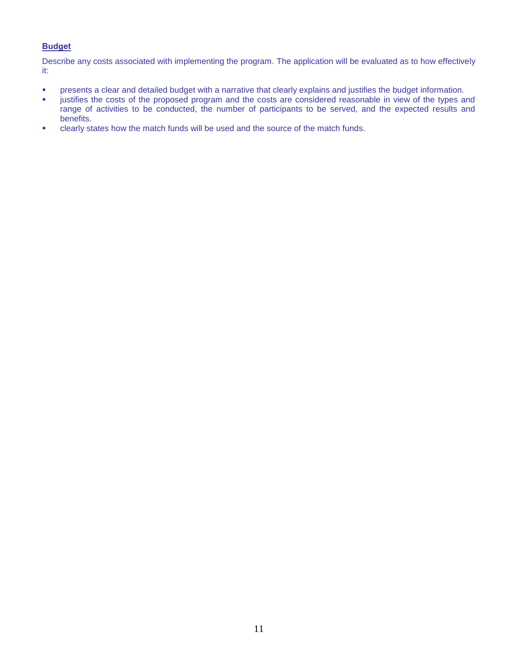#### **Budget**

Describe any costs associated with implementing the program. The application will be evaluated as to how effectively it:

- **•** presents a clear and detailed budget with a narrative that clearly explains and justifies the budget information.
- justifies the costs of the proposed program and the costs are considered reasonable in view of the types and range of activities to be conducted, the number of participants to be served, and the expected results and benefits.
- clearly states how the match funds will be used and the source of the match funds.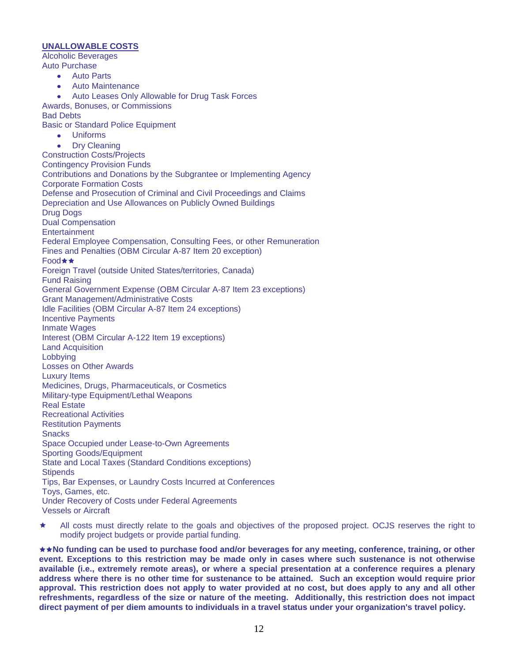#### **UNALLOWABLE COSTS**

Alcoholic Beverages Auto Purchase

- Auto Parts  $\bullet$
- Auto Maintenance
- Auto Leases Only Allowable for Drug Task Forces Awards, Bonuses, or Commissions Bad Debts Basic or Standard Police Equipment Uniforms  $\bullet$ Dry Cleaning Construction Costs/Projects Contingency Provision Funds Contributions and Donations by the Subgrantee or Implementing Agency Corporate Formation Costs Defense and Prosecution of Criminal and Civil Proceedings and Claims Depreciation and Use Allowances on Publicly Owned Buildings Drug Dogs Dual Compensation **Entertainment** Federal Employee Compensation, Consulting Fees, or other Remuneration Fines and Penalties (OBM Circular A-87 Item 20 exception) Food★★ Foreign Travel (outside United States/territories, Canada) Fund Raising General Government Expense (OBM Circular A-87 Item 23 exceptions) Grant Management/Administrative Costs Idle Facilities (OBM Circular A-87 Item 24 exceptions) Incentive Payments Inmate Wages Interest (OBM Circular A-122 Item 19 exceptions) Land Acquisition Lobbying Losses on Other Awards Luxury Items Medicines, Drugs, Pharmaceuticals, or Cosmetics Military-type Equipment/Lethal Weapons Real Estate Recreational Activities Restitution Payments **Snacks** Space Occupied under Lease-to-Own Agreements Sporting Goods/Equipment State and Local Taxes (Standard Conditions exceptions) **Stipends** Tips, Bar Expenses, or Laundry Costs Incurred at Conferences Toys, Games, etc. Under Recovery of Costs under Federal Agreements Vessels or Aircraft
- All costs must directly relate to the goals and objectives of the proposed project. OCJS reserves the right to modify project budgets or provide partial funding.

**★★No funding can be used to purchase food and/or beverages for any meeting, conference, training, or other event. Exceptions to this restriction may be made only in cases where such sustenance is not otherwise available (i.e., extremely remote areas), or where a special presentation at a conference requires a plenary address where there is no other time for sustenance to be attained. Such an exception would require prior approval. This restriction does not apply to water provided at no cost, but does apply to any and all other refreshments, regardless of the size or nature of the meeting. Additionally, this restriction does not impact direct payment of per diem amounts to individuals in a travel status under your organization's travel policy.**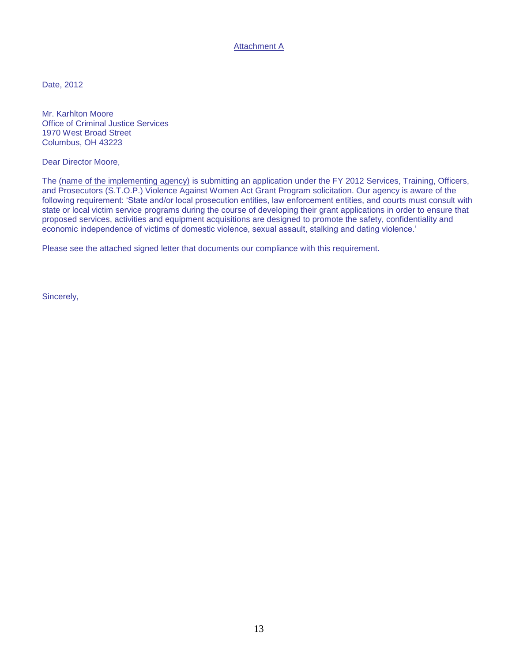Attachment A

Date, 2012

Mr. Karhlton Moore Office of Criminal Justice Services 1970 West Broad Street Columbus, OH 43223

Dear Director Moore,

The (name of the implementing agency) is submitting an application under the FY 2012 Services, Training, Officers, and Prosecutors (S.T.O.P.) Violence Against Women Act Grant Program solicitation. Our agency is aware of the following requirement: 'State and/or local prosecution entities, law enforcement entities, and courts must consult with state or local victim service programs during the course of developing their grant applications in order to ensure that proposed services, activities and equipment acquisitions are designed to promote the safety, confidentiality and economic independence of victims of domestic violence, sexual assault, stalking and dating violence.'

Please see the attached signed letter that documents our compliance with this requirement.

Sincerely,